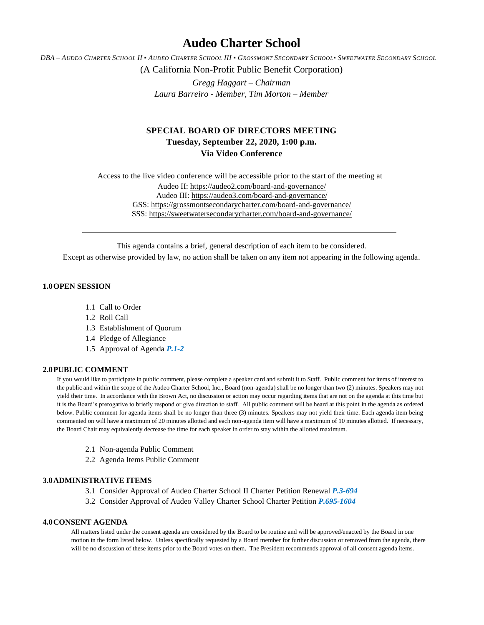# **Audeo Charter School**

DBA - AUDEO CHARTER SCHOOL II . AUDEO CHARTER SCHOOL III . GROSSMONT SECONDARY SCHOOL. SWEETWATER SECONDARY SCHOOL

(A California Non-Profit Public Benefit Corporation)

*Gregg Haggart – Chairman Laura Barreiro - Member, Tim Morton – Member*

# **SPECIAL BOARD OF DIRECTORS MEETING Tuesday, September 22, 2020, 1:00 p.m.**

**Via Video Conference**

Access to the live video conference will be accessible prior to the start of the meeting at Audeo II[: https://audeo2.com/board-and-governance/](https://audeo2.com/board-and-governance/) Audeo III:<https://audeo3.com/board-and-governance/> GSS:<https://grossmontsecondarycharter.com/board-and-governance/> SSS:<https://sweetwatersecondarycharter.com/board-and-governance/>

This agenda contains a brief, general description of each item to be considered.

Except as otherwise provided by law, no action shall be taken on any item not appearing in the following agenda.

## **1.0OPEN SESSION**

- 1.1 Call to Order
- 1.2 Roll Call
- 1.3 Establishment of Quorum
- 1.4 Pledge of Allegiance
- 1.5 Approval of Agenda *P.1-2*

### **2.0PUBLIC COMMENT**

If you would like to participate in public comment, please complete a speaker card and submit it to Staff. Public comment for items of interest to the public and within the scope of the Audeo Charter School, Inc., Board (non-agenda) shall be no longer than two (2) minutes. Speakers may not yield their time. In accordance with the Brown Act, no discussion or action may occur regarding items that are not on the agenda at this time but it is the Board's prerogative to briefly respond or give direction to staff. All public comment will be heard at this point in the agenda as ordered below. Public comment for agenda items shall be no longer than three (3) minutes. Speakers may not yield their time. Each agenda item being commented on will have a maximum of 20 minutes allotted and each non-agenda item will have a maximum of 10 minutes allotted. If necessary, the Board Chair may equivalently decrease the time for each speaker in order to stay within the allotted maximum.

- 2.1 Non-agenda Public Comment
- 2.2 Agenda Items Public Comment

### **3.0ADMINISTRATIVE ITEMS**

- 3.1 Consider Approval of Audeo Charter School II Charter Petition Renewal *P.3-694*
- 3.2 Consider Approval of Audeo Valley Charter School Charter Petition *P.695-1604*

#### **4.0CONSENT AGENDA**

All matters listed under the consent agenda are considered by the Board to be routine and will be approved/enacted by the Board in one motion in the form listed below. Unless specifically requested by a Board member for further discussion or removed from the agenda, there will be no discussion of these items prior to the Board votes on them. The President recommends approval of all consent agenda items.